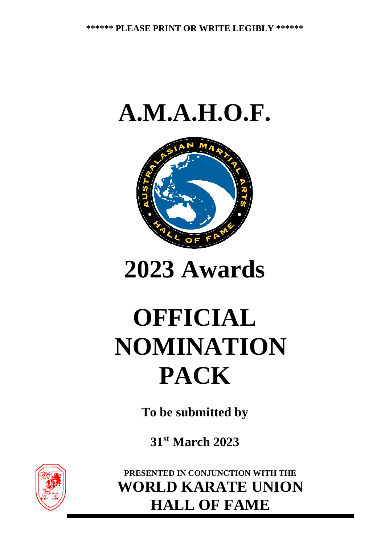



**2023 Awards**

# **OFFICIAL NOMINATION PACK**

**To be submitted by**

**31st March 2023**



**PRESENTED IN CONJUNCTION WITH THE WORLD KARATE UNION HALL OF FAME**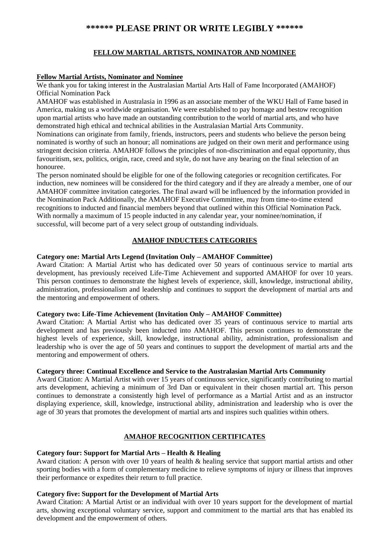#### **\*\*\*\*\*\* PLEASE PRINT OR WRITE LEGIBLY \*\*\*\*\*\***

#### **FELLOW MARTIAL ARTISTS, NOMINATOR AND NOMINEE**

#### **Fellow Martial Artists, Nominator and Nominee**

We thank you for taking interest in the Australasian Martial Arts Hall of Fame Incorporated (AMAHOF) Official Nomination Pack

AMAHOF was established in Australasia in 1996 as an associate member of the WKU Hall of Fame based in America, making us a worldwide organisation. We were established to pay homage and bestow recognition upon martial artists who have made an outstanding contribution to the world of martial arts, and who have demonstrated high ethical and technical abilities in the Australasian Martial Arts Community.

Nominations can originate from family, friends, instructors, peers and students who believe the person being nominated is worthy of such an honour; all nominations are judged on their own merit and performance using stringent decision criteria. AMAHOF follows the principles of non-discrimination and equal opportunity, thus favouritism, sex, politics, origin, race, creed and style, do not have any bearing on the final selection of an honouree.

The person nominated should be eligible for one of the following categories or recognition certificates. For induction, new nominees will be considered for the third category and if they are already a member, one of our AMAHOF committee invitation categories. The final award will be influenced by the information provided in the Nomination Pack Additionally, the AMAHOF Executive Committee, may from time-to-time extend recognitions to inducted and financial members beyond that outlined within this Official Nomination Pack. With normally a maximum of 15 people inducted in any calendar year, your nominee/nomination, if successful, will become part of a very select group of outstanding individuals.

#### **AMAHOF INDUCTEES CATEGORIES**

#### **Category one: Martial Arts Legend (Invitation Only – AMAHOF Committee)**

Award Citation: A Martial Artist who has dedicated over 50 years of continuous service to martial arts development, has previously received Life-Time Achievement and supported AMAHOF for over 10 years. This person continues to demonstrate the highest levels of experience, skill, knowledge, instructional ability, administration, professionalism and leadership and continues to support the development of martial arts and the mentoring and empowerment of others.

#### **Category two: Life-Time Achievement (Invitation Only – AMAHOF Committee)**

Award Citation: A Martial Artist who has dedicated over 35 years of continuous service to martial arts development and has previously been inducted into AMAHOF. This person continues to demonstrate the highest levels of experience, skill, knowledge, instructional ability, administration, professionalism and leadership who is over the age of 50 years and continues to support the development of martial arts and the mentoring and empowerment of others.

#### **Category three: Continual Excellence and Service to the Australasian Martial Arts Community**

Award Citation: A Martial Artist with over 15 years of continuous service, significantly contributing to martial arts development, achieving a minimum of 3rd Dan or equivalent in their chosen martial art. This person continues to demonstrate a consistently high level of performance as a Martial Artist and as an instructor displaying experience, skill, knowledge, instructional ability, administration and leadership who is over the age of 30 years that promotes the development of martial arts and inspires such qualities within others.

#### **AMAHOF RECOGNITION CERTIFICATES**

#### **Category four: Support for Martial Arts – Health & Healing**

Award citation: A person with over 10 years of health & healing service that support martial artists and other sporting bodies with a form of complementary medicine to relieve symptoms of injury or illness that improves their performance or expedites their return to full practice.

#### **Category five: Support for the Development of Martial Arts**

Award Citation: A Martial Artist or an individual with over 10 years support for the development of martial arts, showing exceptional voluntary service, support and commitment to the martial arts that has enabled its development and the empowerment of others.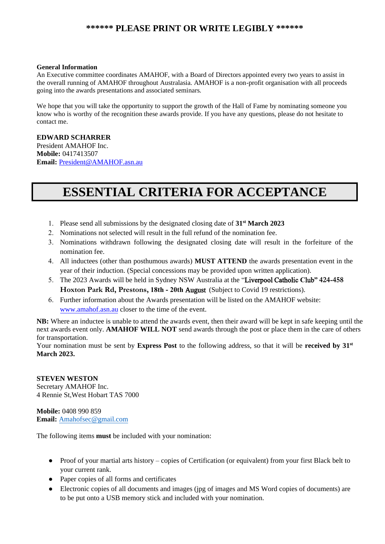#### **\*\*\*\*\*\* PLEASE PRINT OR WRITE LEGIBLY \*\*\*\*\*\***

#### **General Information**

An Executive committee coordinates AMAHOF, with a Board of Directors appointed every two years to assist in the overall running of AMAHOF throughout Australasia. AMAHOF is a non-profit organisation with all proceeds going into the awards presentations and associated seminars.

We hope that you will take the opportunity to support the growth of the Hall of Fame by nominating someone you know who is worthy of the recognition these awards provide. If you have any questions, please do not hesitate to contact me.

#### **EDWARD SCHARRER**

President AMAHOF Inc. **Mobile:** 0417413507 **Email:** [President@AMAHOF.asn.au](mailto:president@amahof.asn.au)

# **ESSENTIAL CRITERIA FOR ACCEPTANCE**

- 1. Please send all submissions by the designated closing date of **31st March 2023**
- 2. Nominations not selected will result in the full refund of the nomination fee.
- 3. Nominations withdrawn following the designated closing date will result in the forfeiture of the nomination fee.
- 4. All inductees (other than posthumous awards) **MUST ATTEND** the awards presentation event in the year of their induction. (Special concessions may be provided upon written application).
- 5. The 2023 Awards will be held in Sydney NSW Australia at the "Liverpool Catholic **C**lub" **424-458 Hoxton Park Rd, Prestons, 18th - 20th** August (Subject to Covid 19 restrictions).
- 6. Further information about the Awards presentation will be listed on the AMAHOF website: [www.amahof.asn.au](http://www.amahof.asn.au/) closer to the time of the event.

**NB:** Where an inductee is unable to attend the awards event, then their award will be kept in safe keeping until the next awards event only. **AMAHOF WILL NOT** send awards through the post or place them in the care of others for transportation.

Your nomination must be sent by **Express Post** to the following address, so that it will be **received by 31st March 2023.**

#### **STEVEN WESTON**  Secretary AMAHOF Inc. 4 Rennie St,West Hobart TAS 7000

**Mobile:** 0408 990 859 **Email:** [Amahofsec@gmail.com](mailto:Amahofsec@gmail.com) 

The following items **must** be included with your nomination:

- Proof of your martial arts history copies of Certification (or equivalent) from your first Black belt to your current rank.
- Paper copies of all forms and certificates
- Electronic copies of all documents and images (jpg of images and MS Word copies of documents) are to be put onto a USB memory stick and included with your nomination.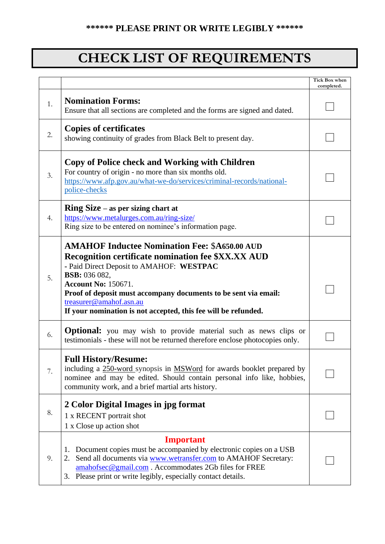# **CHECK LIST OF REQUIREMENTS**

|    |                                                                                                                                                                                                                                                                                                                                                                              | <b>Tick Box when</b><br>completed. |
|----|------------------------------------------------------------------------------------------------------------------------------------------------------------------------------------------------------------------------------------------------------------------------------------------------------------------------------------------------------------------------------|------------------------------------|
| 1. | <b>Nomination Forms:</b><br>Ensure that all sections are completed and the forms are signed and dated.                                                                                                                                                                                                                                                                       |                                    |
| 2. | <b>Copies of certificates</b><br>showing continuity of grades from Black Belt to present day.                                                                                                                                                                                                                                                                                |                                    |
| 3. | Copy of Police check and Working with Children<br>For country of origin - no more than six months old.<br>https://www.afp.gov.au/what-we-do/services/criminal-records/national-<br>police-checks                                                                                                                                                                             |                                    |
| 4. | $\lim_{x \to a}$ Size – as per sizing chart at<br>https://www.metalurges.com.au/ring-size/<br>Ring size to be entered on nominee's information page.                                                                                                                                                                                                                         |                                    |
| 5. | <b>AMAHOF Inductee Nomination Fee: \$A650.00 AUD</b><br>Recognition certificate nomination fee \$XX.XX AUD<br>- Paid Direct Deposit to AMAHOF: WESTPAC<br><b>BSB:</b> 036 082,<br><b>Account No: 150671.</b><br>Proof of deposit must accompany documents to be sent via email:<br>treasurer@amahof.asn.au<br>If your nomination is not accepted, this fee will be refunded. |                                    |
| 6. | <b>Optional:</b> you may wish to provide material such as news clips or<br>testimonials - these will not be returned therefore enclose photocopies only.                                                                                                                                                                                                                     |                                    |
| 7. | <b>Full History/Resume:</b><br>including a 250-word synopsis in MSWord for awards booklet prepared by<br>nominee and may be edited. Should contain personal info like, hobbies,<br>community work, and a brief martial arts history.                                                                                                                                         |                                    |
| 8. | 2 Color Digital Images in jpg format<br>1 x RECENT portrait shot<br>1 x Close up action shot                                                                                                                                                                                                                                                                                 |                                    |
| 9. | <b>Important</b><br>Document copies must be accompanied by electronic copies on a USB<br>1.<br>Send all documents via www.wetransfer.com to AMAHOF Secretary:<br>amahofsec@gmail.com. Accommodates 2Gb files for FREE<br>3. Please print or write legibly, especially contact details.                                                                                       |                                    |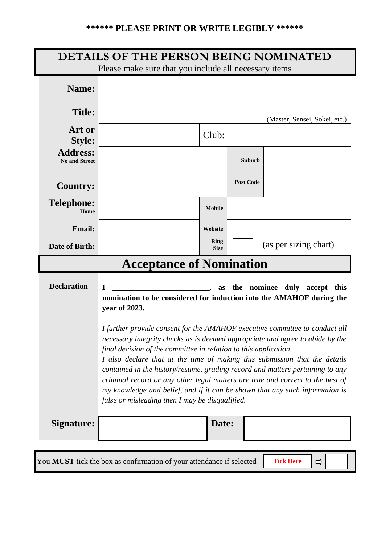| <b>DETAILS OF THE PERSON BEING NOMINATED</b><br>Please make sure that you include all necessary items |                                                                                                                                                                                                                                                                                                                                                                                                                                                                                                                                                                                                                                                                                                                                                       |                            |                  |                       |  |
|-------------------------------------------------------------------------------------------------------|-------------------------------------------------------------------------------------------------------------------------------------------------------------------------------------------------------------------------------------------------------------------------------------------------------------------------------------------------------------------------------------------------------------------------------------------------------------------------------------------------------------------------------------------------------------------------------------------------------------------------------------------------------------------------------------------------------------------------------------------------------|----------------------------|------------------|-----------------------|--|
| Name:                                                                                                 |                                                                                                                                                                                                                                                                                                                                                                                                                                                                                                                                                                                                                                                                                                                                                       |                            |                  |                       |  |
| <b>Title:</b>                                                                                         | (Master, Sensei, Sokei, etc.)                                                                                                                                                                                                                                                                                                                                                                                                                                                                                                                                                                                                                                                                                                                         |                            |                  |                       |  |
| <b>Art or</b><br><b>Style:</b>                                                                        | Club:                                                                                                                                                                                                                                                                                                                                                                                                                                                                                                                                                                                                                                                                                                                                                 |                            |                  |                       |  |
| <b>Address:</b><br><b>No and Street</b>                                                               |                                                                                                                                                                                                                                                                                                                                                                                                                                                                                                                                                                                                                                                                                                                                                       |                            | Suburb           |                       |  |
| <b>Country:</b>                                                                                       |                                                                                                                                                                                                                                                                                                                                                                                                                                                                                                                                                                                                                                                                                                                                                       |                            | <b>Post Code</b> |                       |  |
| <b>Telephone:</b><br>Home                                                                             |                                                                                                                                                                                                                                                                                                                                                                                                                                                                                                                                                                                                                                                                                                                                                       | <b>Mobile</b>              |                  |                       |  |
| <b>Email:</b>                                                                                         |                                                                                                                                                                                                                                                                                                                                                                                                                                                                                                                                                                                                                                                                                                                                                       | Website                    |                  |                       |  |
| <b>Date of Birth:</b>                                                                                 |                                                                                                                                                                                                                                                                                                                                                                                                                                                                                                                                                                                                                                                                                                                                                       | <b>Ring</b><br><b>Size</b> |                  | (as per sizing chart) |  |
|                                                                                                       | <b>Acceptance of Nomination</b>                                                                                                                                                                                                                                                                                                                                                                                                                                                                                                                                                                                                                                                                                                                       |                            |                  |                       |  |
| <b>Declaration</b>                                                                                    | I<br>as the nominee duly accept this<br>nomination to be considered for induction into the AMAHOF during the<br>year of 2023.<br>I further provide consent for the AMAHOF executive committee to conduct all<br>necessary integrity checks as is deemed appropriate and agree to abide by the<br>final decision of the committee in relation to this application.<br>I also declare that at the time of making this submission that the details<br>contained in the history/resume, grading record and matters pertaining to any<br>criminal record or any other legal matters are true and correct to the best of<br>my knowledge and belief, and if it can be shown that any such information is<br>false or misleading then I may be disqualified. |                            |                  |                       |  |
| Signature:                                                                                            |                                                                                                                                                                                                                                                                                                                                                                                                                                                                                                                                                                                                                                                                                                                                                       | Date:                      |                  |                       |  |
|                                                                                                       |                                                                                                                                                                                                                                                                                                                                                                                                                                                                                                                                                                                                                                                                                                                                                       |                            |                  |                       |  |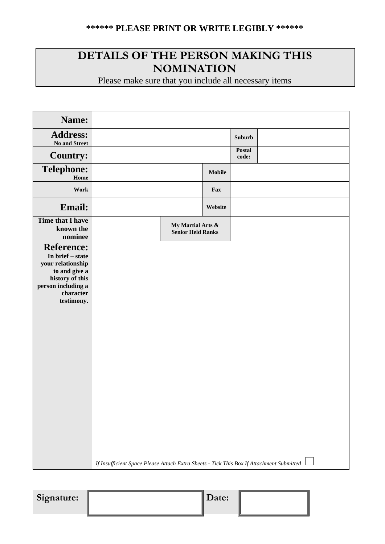## **DETAILS OF THE PERSON MAKING THIS NOMINATION**

Please make sure that you include all necessary items

| Name:                                                                                                                                           |                                                                                          |         |                        |  |
|-------------------------------------------------------------------------------------------------------------------------------------------------|------------------------------------------------------------------------------------------|---------|------------------------|--|
| <b>Address:</b><br>No and Street                                                                                                                |                                                                                          |         | <b>Suburb</b>          |  |
| <b>Country:</b>                                                                                                                                 |                                                                                          |         | <b>Postal</b><br>code: |  |
| <b>Telephone:</b><br>Home                                                                                                                       |                                                                                          | Mobile  |                        |  |
| Work                                                                                                                                            |                                                                                          | Fax     |                        |  |
| Email:                                                                                                                                          |                                                                                          | Website |                        |  |
| <b>Time that I have</b><br>known the<br>nominee                                                                                                 | My Martial Arts &<br><b>Senior Held Ranks</b>                                            |         |                        |  |
| <b>Reference:</b><br>In brief – state<br>your relationship<br>to and give a<br>history of this<br>person including a<br>character<br>testimony. | If Insufficient Space Please Attach Extra Sheets - Tick This Box If Attachment Submitted |         |                        |  |

Signature: Date: